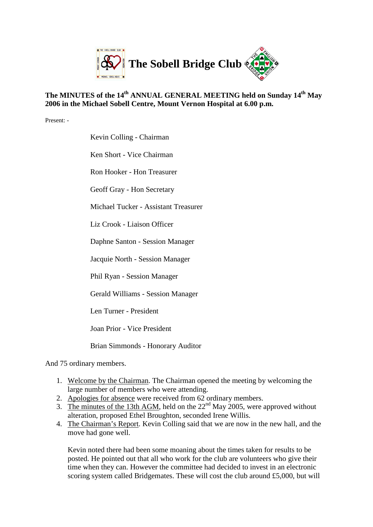

## **The MINUTES of the 14th ANNUAL GENERAL MEETING held on Sunday 14th May 2006 in the Michael Sobell Centre, Mount Vernon Hospital at 6.00 p.m.**

Present: -

Kevin Colling - Chairman

Ken Short - Vice Chairman

Ron Hooker - Hon Treasurer

Geoff Gray - Hon Secretary

Michael Tucker - Assistant Treasurer

Liz Crook - Liaison Officer

Daphne Santon - Session Manager

Jacquie North - Session Manager

Phil Ryan - Session Manager

Gerald Williams - Session Manager

Len Turner - President

Joan Prior - Vice President

Brian Simmonds - Honorary Auditor

And 75 ordinary members.

- 1. Welcome by the Chairman. The Chairman opened the meeting by welcoming the large number of members who were attending.
- 2. Apologies for absence were received from 62 ordinary members.
- 3. The minutes of the 13th AGM, held on the  $22<sup>nd</sup>$  May 2005, were approved without alteration, proposed Ethel Broughton, seconded Irene Willis.
- 4. The Chairman's Report. Kevin Colling said that we are now in the new hall, and the move had gone well.

Kevin noted there had been some moaning about the times taken for results to be posted. He pointed out that all who work for the club are volunteers who give their time when they can. However the committee had decided to invest in an electronic scoring system called Bridgemates. These will cost the club around £5,000, but will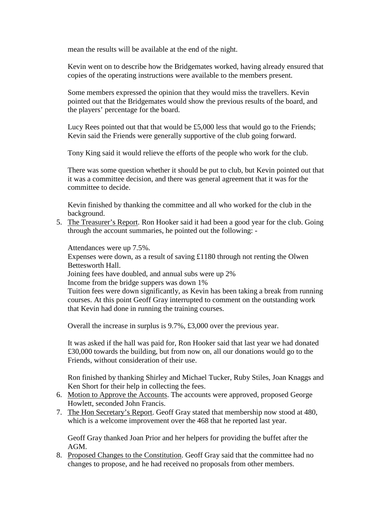mean the results will be available at the end of the night.

Kevin went on to describe how the Bridgemates worked, having already ensured that copies of the operating instructions were available to the members present.

Some members expressed the opinion that they would miss the travellers. Kevin pointed out that the Bridgemates would show the previous results of the board, and the players' percentage for the board.

Lucy Rees pointed out that that would be £5,000 less that would go to the Friends; Kevin said the Friends were generally supportive of the club going forward.

Tony King said it would relieve the efforts of the people who work for the club.

There was some question whether it should be put to club, but Kevin pointed out that it was a committee decision, and there was general agreement that it was for the committee to decide.

Kevin finished by thanking the committee and all who worked for the club in the background.

5. The Treasurer's Report. Ron Hooker said it had been a good year for the club. Going through the account summaries, he pointed out the following: -

Attendances were up 7.5%.

Expenses were down, as a result of saving £1180 through not renting the Olwen Bettesworth Hall.

Joining fees have doubled, and annual subs were up 2%

Income from the bridge suppers was down 1%

Tuition fees were down significantly, as Kevin has been taking a break from running courses. At this point Geoff Gray interrupted to comment on the outstanding work that Kevin had done in running the training courses.

Overall the increase in surplus is 9.7%, £3,000 over the previous year.

It was asked if the hall was paid for, Ron Hooker said that last year we had donated £30,000 towards the building, but from now on, all our donations would go to the Friends, without consideration of their use.

Ron finished by thanking Shirley and Michael Tucker, Ruby Stiles, Joan Knaggs and Ken Short for their help in collecting the fees.

- 6. Motion to Approve the Accounts. The accounts were approved, proposed George Howlett, seconded John Francis.
- 7. The Hon Secretary's Report. Geoff Gray stated that membership now stood at 480, which is a welcome improvement over the 468 that he reported last year.

Geoff Gray thanked Joan Prior and her helpers for providing the buffet after the AGM.

8. Proposed Changes to the Constitution. Geoff Gray said that the committee had no changes to propose, and he had received no proposals from other members.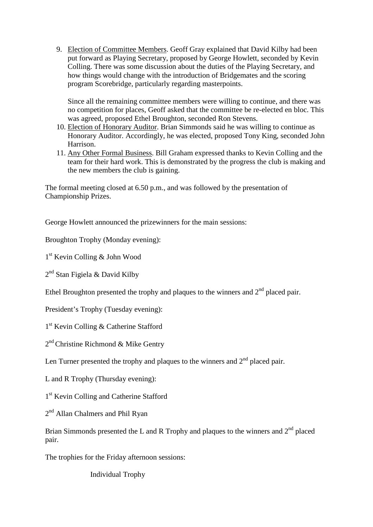9. Election of Committee Members. Geoff Gray explained that David Kilby had been put forward as Playing Secretary, proposed by George Howlett, seconded by Kevin Colling. There was some discussion about the duties of the Playing Secretary, and how things would change with the introduction of Bridgemates and the scoring program Scorebridge, particularly regarding masterpoints.

Since all the remaining committee members were willing to continue, and there was no competition for places, Geoff asked that the committee be re-elected en bloc. This was agreed, proposed Ethel Broughton, seconded Ron Stevens.

- 10. Election of Honorary Auditor. Brian Simmonds said he was willing to continue as Honorary Auditor. Accordingly, he was elected, proposed Tony King, seconded John Harrison.
- 11. Any Other Formal Business. Bill Graham expressed thanks to Kevin Colling and the team for their hard work. This is demonstrated by the progress the club is making and the new members the club is gaining.

The formal meeting closed at 6.50 p.m., and was followed by the presentation of Championship Prizes.

George Howlett announced the prizewinners for the main sessions:

Broughton Trophy (Monday evening):

1 st Kevin Colling & John Wood

2<sup>nd</sup> Stan Figiela & David Kilby

Ethel Broughton presented the trophy and plaques to the winners and  $2<sup>nd</sup>$  placed pair.

President's Trophy (Tuesday evening):

1 st Kevin Colling & Catherine Stafford

2<sup>nd</sup> Christine Richmond & Mike Gentry

Len Turner presented the trophy and plaques to the winners and  $2<sup>nd</sup>$  placed pair.

L and R Trophy (Thursday evening):

1<sup>st</sup> Kevin Colling and Catherine Stafford

2<sup>nd</sup> Allan Chalmers and Phil Ryan

Brian Simmonds presented the L and R Trophy and plaques to the winners and  $2<sup>nd</sup>$  placed pair.

The trophies for the Friday afternoon sessions:

Individual Trophy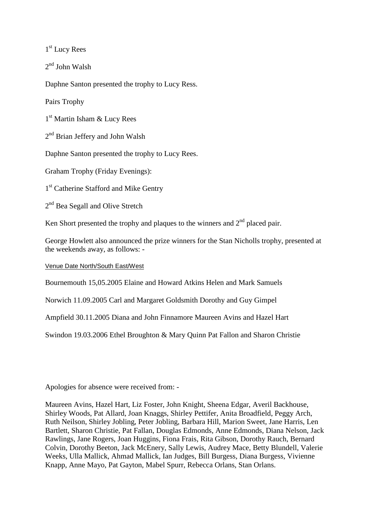1 st Lucy Rees

2 nd John Walsh

Daphne Santon presented the trophy to Lucy Ress.

Pairs Trophy

1 st Martin Isham & Lucy Rees

2<sup>nd</sup> Brian Jeffery and John Walsh

Daphne Santon presented the trophy to Lucy Rees.

Graham Trophy (Friday Evenings):

1<sup>st</sup> Catherine Stafford and Mike Gentry

2<sup>nd</sup> Bea Segall and Olive Stretch

Ken Short presented the trophy and plaques to the winners and  $2<sup>nd</sup>$  placed pair.

George Howlett also announced the prize winners for the Stan Nicholls trophy, presented at the weekends away, as follows: -

Venue Date North/South East/West

Bournemouth 15,05.2005 Elaine and Howard Atkins Helen and Mark Samuels

Norwich 11.09.2005 Carl and Margaret Goldsmith Dorothy and Guy Gimpel

Ampfield 30.11.2005 Diana and John Finnamore Maureen Avins and Hazel Hart

Swindon 19.03.2006 Ethel Broughton & Mary Quinn Pat Fallon and Sharon Christie

Apologies for absence were received from: -

Maureen Avins, Hazel Hart, Liz Foster, John Knight, Sheena Edgar, Averil Backhouse, Shirley Woods, Pat Allard, Joan Knaggs, Shirley Pettifer, Anita Broadfield, Peggy Arch, Ruth Neilson, Shirley Jobling, Peter Jobling, Barbara Hill, Marion Sweet, Jane Harris, Len Bartlett, Sharon Christie, Pat Fallan, Douglas Edmonds, Anne Edmonds, Diana Nelson, Jack Rawlings, Jane Rogers, Joan Huggins, Fiona Frais, Rita Gibson, Dorothy Rauch, Bernard Colvin, Dorothy Beeton, Jack McEnery, Sally Lewis, Audrey Mace, Betty Blundell, Valerie Weeks, Ulla Mallick, Ahmad Mallick, Ian Judges, Bill Burgess, Diana Burgess, Vivienne Knapp, Anne Mayo, Pat Gayton, Mabel Spurr, Rebecca Orlans, Stan Orlans.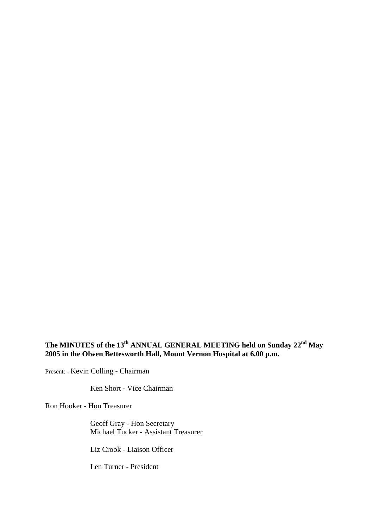## **The MINUTES of the 13th ANNUAL GENERAL MEETING held on Sunday 22nd May 2005 in the Olwen Bettesworth Hall, Mount Vernon Hospital at 6.00 p.m.**

Present: - Kevin Colling - Chairman

Ken Short - Vice Chairman

Ron Hooker - Hon Treasurer

Geoff Gray - Hon Secretary Michael Tucker - Assistant Treasurer

Liz Crook - Liaison Officer

Len Turner - President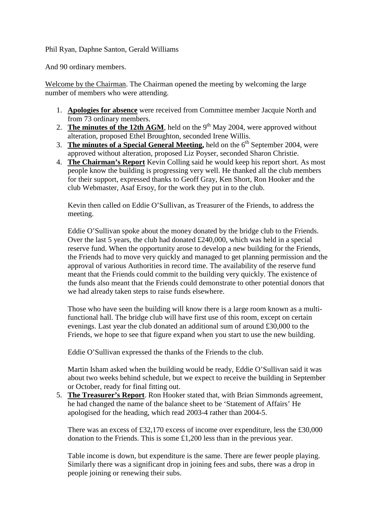## Phil Ryan, Daphne Santon, Gerald Williams

And 90 ordinary members.

Welcome by the Chairman. The Chairman opened the meeting by welcoming the large number of members who were attending.

- 1. **Apologies for absence** were received from Committee member Jacquie North and from 73 ordinary members.
- 2. **The minutes of the 12th AGM**, held on the  $9<sup>th</sup>$  May 2004, were approved without alteration, proposed Ethel Broughton, seconded Irene Willis.
- 3. **The minutes of a Special General Meeting,** held on the 6<sup>th</sup> September 2004, were approved without alteration, proposed Liz Poyser, seconded Sharon Christie.
- 4. **The Chairman's Report** Kevin Colling said he would keep his report short. As most people know the building is progressing very well. He thanked all the club members for their support, expressed thanks to Geoff Gray, Ken Short, Ron Hooker and the club Webmaster, Asaf Ersoy, for the work they put in to the club.

Kevin then called on Eddie O'Sullivan, as Treasurer of the Friends, to address the meeting.

Eddie O'Sullivan spoke about the money donated by the bridge club to the Friends. Over the last 5 years, the club had donated £240,000, which was held in a special reserve fund. When the opportunity arose to develop a new building for the Friends, the Friends had to move very quickly and managed to get planning permission and the approval of various Authorities in record time. The availability of the reserve fund meant that the Friends could commit to the building very quickly. The existence of the funds also meant that the Friends could demonstrate to other potential donors that we had already taken steps to raise funds elsewhere.

Those who have seen the building will know there is a large room known as a multifunctional hall. The bridge club will have first use of this room, except on certain evenings. Last year the club donated an additional sum of around £30,000 to the Friends, we hope to see that figure expand when you start to use the new building.

Eddie O'Sullivan expressed the thanks of the Friends to the club.

Martin Isham asked when the building would be ready, Eddie O'Sullivan said it was about two weeks behind schedule, but we expect to receive the building in September or October, ready for final fitting out.

5. **The Treasurer's Report**. Ron Hooker stated that, with Brian Simmonds agreement, he had changed the name of the balance sheet to be 'Statement of Affairs' He apologised for the heading, which read 2003-4 rather than 2004-5.

There was an excess of £32,170 excess of income over expenditure, less the £30,000 donation to the Friends. This is some £1,200 less than in the previous year.

Table income is down, but expenditure is the same. There are fewer people playing. Similarly there was a significant drop in joining fees and subs, there was a drop in people joining or renewing their subs.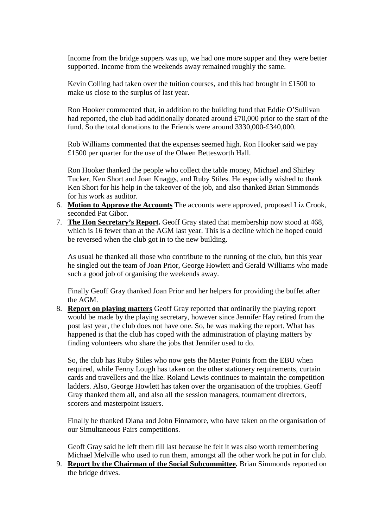Income from the bridge suppers was up, we had one more supper and they were better supported. Income from the weekends away remained roughly the same.

Kevin Colling had taken over the tuition courses, and this had brought in £1500 to make us close to the surplus of last year.

Ron Hooker commented that, in addition to the building fund that Eddie O'Sullivan had reported, the club had additionally donated around £70,000 prior to the start of the fund. So the total donations to the Friends were around 3330,000-£340,000.

Rob Williams commented that the expenses seemed high. Ron Hooker said we pay £1500 per quarter for the use of the Olwen Bettesworth Hall.

Ron Hooker thanked the people who collect the table money, Michael and Shirley Tucker, Ken Short and Joan Knaggs, and Ruby Stiles. He especially wished to thank Ken Short for his help in the takeover of the job, and also thanked Brian Simmonds for his work as auditor.

- 6. **Motion to Approve the Accounts** The accounts were approved, proposed Liz Crook, seconded Pat Gibor.
- 7. **The Hon Secretary's Report.** Geoff Gray stated that membership now stood at 468, which is 16 fewer than at the AGM last year. This is a decline which he hoped could be reversed when the club got in to the new building.

As usual he thanked all those who contribute to the running of the club, but this year he singled out the team of Joan Prior, George Howlett and Gerald Williams who made such a good job of organising the weekends away.

Finally Geoff Gray thanked Joan Prior and her helpers for providing the buffet after the AGM.

8. **Report on playing matters** Geoff Gray reported that ordinarily the playing report would be made by the playing secretary, however since Jennifer Hay retired from the post last year, the club does not have one. So, he was making the report. What has happened is that the club has coped with the administration of playing matters by finding volunteers who share the jobs that Jennifer used to do.

So, the club has Ruby Stiles who now gets the Master Points from the EBU when required, while Fenny Lough has taken on the other stationery requirements, curtain cards and travellers and the like. Roland Lewis continues to maintain the competition ladders. Also, George Howlett has taken over the organisation of the trophies. Geoff Gray thanked them all, and also all the session managers, tournament directors, scorers and masterpoint issuers.

Finally he thanked Diana and John Finnamore, who have taken on the organisation of our Simultaneous Pairs competitions.

Geoff Gray said he left them till last because he felt it was also worth remembering Michael Melville who used to run them, amongst all the other work he put in for club.

9. **Report by the Chairman of the Social Subcommittee.** Brian Simmonds reported on the bridge drives.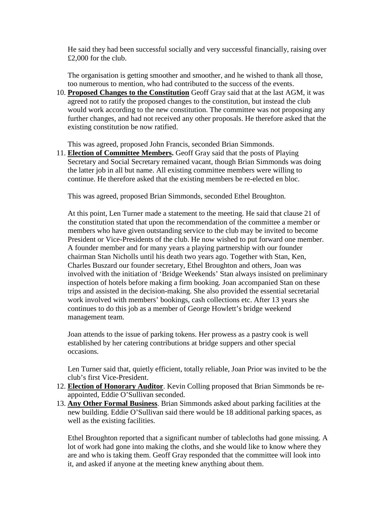He said they had been successful socially and very successful financially, raising over £2,000 for the club.

The organisation is getting smoother and smoother, and he wished to thank all those, too numerous to mention, who had contributed to the success of the events.

10. **Proposed Changes to the Constitution** Geoff Gray said that at the last AGM, it was agreed not to ratify the proposed changes to the constitution, but instead the club would work according to the new constitution. The committee was not proposing any further changes, and had not received any other proposals. He therefore asked that the existing constitution be now ratified.

This was agreed, proposed John Francis, seconded Brian Simmonds.

11. **Election of Committee Members.** Geoff Gray said that the posts of Playing Secretary and Social Secretary remained vacant, though Brian Simmonds was doing the latter job in all but name. All existing committee members were willing to continue. He therefore asked that the existing members be re-elected en bloc.

This was agreed, proposed Brian Simmonds, seconded Ethel Broughton.

At this point, Len Turner made a statement to the meeting. He said that clause 21 of the constitution stated that upon the recommendation of the committee a member or members who have given outstanding service to the club may be invited to become President or Vice-Presidents of the club. He now wished to put forward one member. A founder member and for many years a playing partnership with our founder chairman Stan Nicholls until his death two years ago. Together with Stan, Ken, Charles Buszard our founder secretary, Ethel Broughton and others, Joan was involved with the initiation of 'Bridge Weekends' Stan always insisted on preliminary inspection of hotels before making a firm booking. Joan accompanied Stan on these trips and assisted in the decision-making. She also provided the essential secretarial work involved with members' bookings, cash collections etc. After 13 years she continues to do this job as a member of George Howlett's bridge weekend management team.

Joan attends to the issue of parking tokens. Her prowess as a pastry cook is well established by her catering contributions at bridge suppers and other special occasions.

Len Turner said that, quietly efficient, totally reliable, Joan Prior was invited to be the club's first Vice-President.

- 12. **Election of Honorary Auditor**. Kevin Colling proposed that Brian Simmonds be reappointed, Eddie O'Sullivan seconded.
- 13. **Any Other Formal Business**. Brian Simmonds asked about parking facilities at the new building. Eddie O'Sullivan said there would be 18 additional parking spaces, as well as the existing facilities.

Ethel Broughton reported that a significant number of tablecloths had gone missing. A lot of work had gone into making the cloths, and she would like to know where they are and who is taking them. Geoff Gray responded that the committee will look into it, and asked if anyone at the meeting knew anything about them.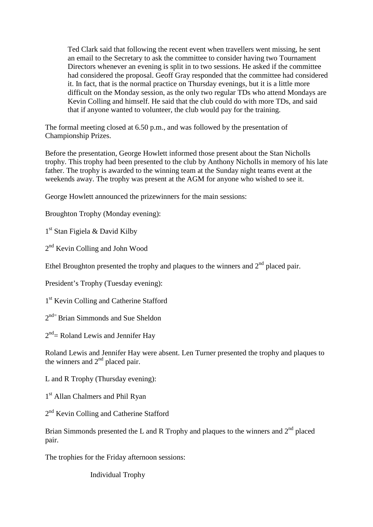Ted Clark said that following the recent event when travellers went missing, he sent an email to the Secretary to ask the committee to consider having two Tournament Directors whenever an evening is split in to two sessions. He asked if the committee had considered the proposal. Geoff Gray responded that the committee had considered it. In fact, that is the normal practice on Thursday evenings, but it is a little more difficult on the Monday session, as the only two regular TDs who attend Mondays are Kevin Colling and himself. He said that the club could do with more TDs, and said that if anyone wanted to volunteer, the club would pay for the training.

The formal meeting closed at 6.50 p.m., and was followed by the presentation of Championship Prizes.

Before the presentation, George Howlett informed those present about the Stan Nicholls trophy. This trophy had been presented to the club by Anthony Nicholls in memory of his late father. The trophy is awarded to the winning team at the Sunday night teams event at the weekends away. The trophy was present at the AGM for anyone who wished to see it.

George Howlett announced the prizewinners for the main sessions:

Broughton Trophy (Monday evening):

1<sup>st</sup> Stan Figiela & David Kilby

2<sup>nd</sup> Kevin Colling and John Wood

Ethel Broughton presented the trophy and plaques to the winners and  $2<sup>nd</sup>$  placed pair.

President's Trophy (Tuesday evening):

1<sup>st</sup> Kevin Colling and Catherine Stafford

2<sup>nd=</sup> Brian Simmonds and Sue Sheldon

 $2<sup>nd</sup>$  Roland Lewis and Jennifer Hay

Roland Lewis and Jennifer Hay were absent. Len Turner presented the trophy and plaques to the winners and  $2<sup>nd</sup>$  placed pair.

L and R Trophy (Thursday evening):

1<sup>st</sup> Allan Chalmers and Phil Ryan

2<sup>nd</sup> Kevin Colling and Catherine Stafford

Brian Simmonds presented the L and R Trophy and plaques to the winners and  $2<sup>nd</sup>$  placed pair.

The trophies for the Friday afternoon sessions:

Individual Trophy